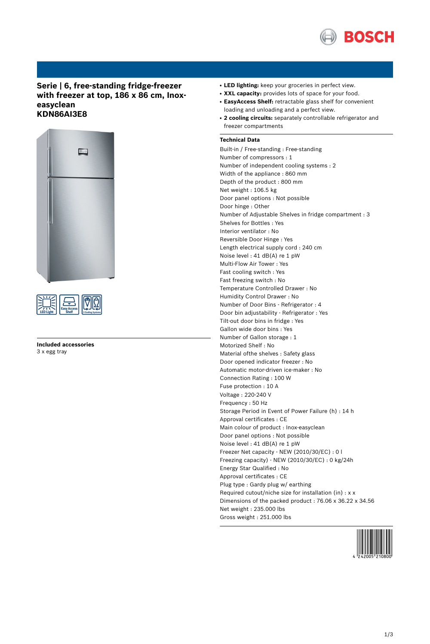

# **Serie | 6, free-standing fridge-freezer with freezer at top, 186 x 86 cm, Inoxeasyclean KDN86AI3E8**





**Included accessories** 3 x egg tray

- LED lighting: keep your groceries in perfect view.
- **XXL capacity:** provides lots of space for your food.
- **EasyAccess Shelf:** retractable glass shelf for convenient loading and unloading and a perfect view.
- **2 cooling circuits:** separately controllable refrigerator and freezer compartments

### **Technical Data**

Built-in / Free-standing : Free-standing Number of compressors : 1 Number of independent cooling systems : 2 Width of the appliance : 860 mm Depth of the product : 800 mm Net weight : 106.5 kg Door panel options : Not possible Door hinge : Other Number of Adjustable Shelves in fridge compartment : 3 Shelves for Bottles : Yes Interior ventilator : No Reversible Door Hinge : Yes Length electrical supply cord : 240 cm Noise level : 41 dB(A) re 1 pW Multi-Flow Air Tower : Yes Fast cooling switch : Yes Fast freezing switch : No Temperature Controlled Drawer : No Humidity Control Drawer : No Number of Door Bins - Refrigerator : 4 Door bin adjustability - Refrigerator : Yes Tilt-out door bins in fridge : Yes Gallon wide door bins : Yes Number of Gallon storage : 1 Motorized Shelf : No Material ofthe shelves : Safety glass Door opened indicator freezer : No Automatic motor-driven ice-maker : No Connection Rating : 100 W Fuse protection : 10 A Voltage : 220-240 V Frequency : 50 Hz Storage Period in Event of Power Failure (h) : 14 h Approval certificates : CE Main colour of product : Inox-easyclean Door panel options : Not possible Noise level : 41 dB(A) re 1 pW Freezer Net capacity - NEW (2010/30/EC) : 0 l Freezing capacity) - NEW (2010/30/EC) : 0 kg/24h Energy Star Qualified : No Approval certificates : CE Plug type : Gardy plug w/ earthing Required cutout/niche size for installation (in) : x x Dimensions of the packed product : 76.06 x 36.22 x 34.56 Net weight : 235.000 lbs Gross weight : 251.000 lbs

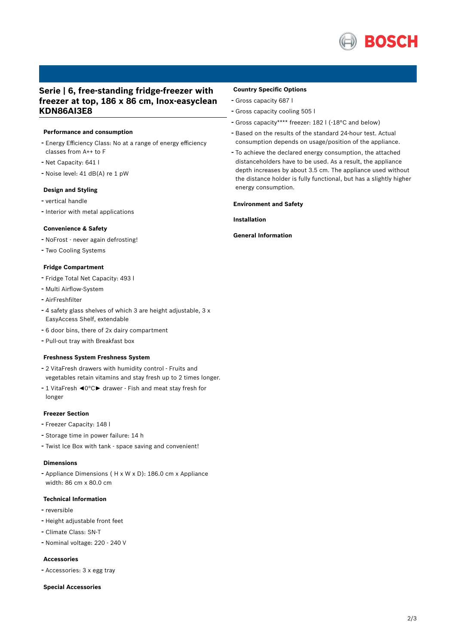

# **Serie | 6, free-standing fridge-freezer with freezer at top, 186 x 86 cm, Inox-easyclean KDN86AI3E8**

### **Performance and consumption**

- Energy Efficiency Class: No at <sup>a</sup> range of energy efficiency classes from A++ to F
- Net Capacity: <sup>641</sup> <sup>l</sup>
- Noise level: <sup>41</sup> dB(A) re <sup>1</sup> pW

### **Design and Styling**

- vertical handle
- Interior with metal applications

### **Convenience & Safety**

- NoFrost never again defrosting!
- Two Cooling Systems

## **Fridge Compartment**

- Fridge Total Net Capacity: <sup>493</sup> <sup>l</sup>
- Multi Airflow-System
- AirFreshfilter
- <sup>4</sup> safety glass shelves of which <sup>3</sup> are height adjustable, <sup>3</sup> <sup>x</sup> EasyAccess Shelf, extendable
- <sup>6</sup> door bins, there of 2x dairy compartment
- Pull-out tray with Breakfast box

#### **Freshness System Freshness System**

- <sup>2</sup> VitaFresh drawers with humidity control Fruits and vegetables retain vitamins and stay fresh up to 2 times longer.
- <sup>1</sup> VitaFresh ◄0°C► drawer Fish and meat stay fresh for longer

### **Freezer Section**

- Freezer Capacity: <sup>148</sup> <sup>l</sup>
- Storage time in power failure: <sup>14</sup> <sup>h</sup>
- Twist Ice Box with tank space saving and convenient!

#### **Dimensions**

- Appliance Dimensions ( H x W x D): 186.0 cm x Appliance width: 86 cm x 80.0 cm

### **Technical Information**

- reversible
- Height adjustable front feet
- Climate Class: SN-T
- Nominal voltage: <sup>220</sup> <sup>240</sup> <sup>V</sup>

#### **Accessories**

- Accessories: <sup>3</sup> <sup>x</sup> egg tray

#### **Special Accessories**

## **Country Specific Options**

- Gross capacity <sup>687</sup> <sup>l</sup>
- Gross capacity cooling <sup>505</sup> <sup>l</sup>
- Gross capacity\*\*\*\* freezer: <sup>182</sup> <sup>l</sup> (-18°C and below)
- Based on the results of the standard 24-hour test. Actual consumption depends on usage/position of the appliance.
- To achieve the declared energy consumption, the attached distanceholders have to be used. As a result, the appliance depth increases by about 3.5 cm. The appliance used without the distance holder is fully functional, but has a slightly higher energy consumption.

#### **Environment and Safety**

**Installation**

#### **General Information**